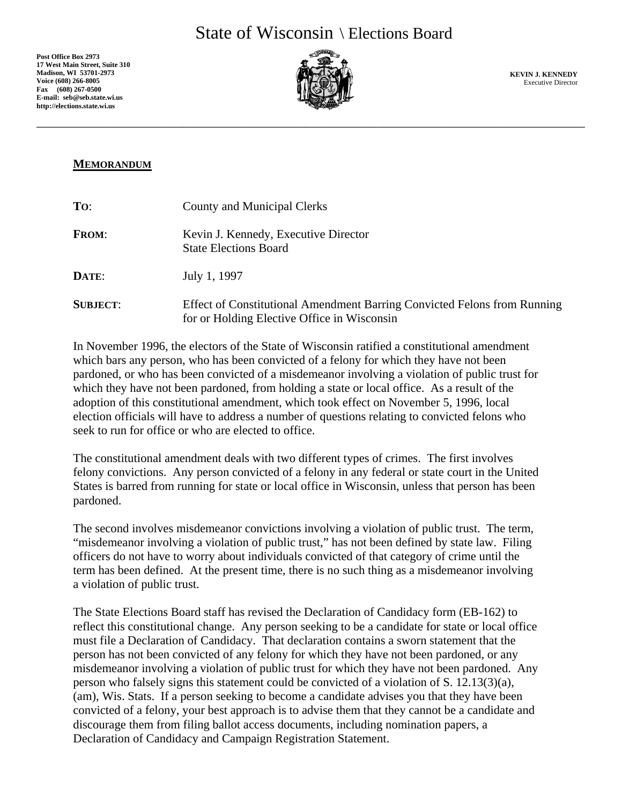**Post Office Box 2973 17 West Main Street, Suite 310 Madison, WI 53701-2973 Voice (608) 266-8005 Fax (608) 267-0500 E-mail: seb@seb.state.wi.us http://elections.state.wi.us**



\_\_\_\_\_\_\_\_\_\_\_\_\_\_\_\_\_\_\_\_\_\_\_\_\_\_\_\_\_\_\_\_\_\_\_\_\_\_\_\_\_\_\_\_\_\_\_\_\_\_\_\_\_\_\_\_\_\_\_\_\_\_\_\_\_\_\_\_\_\_\_\_\_\_\_\_\_\_\_\_\_\_\_\_\_\_\_\_\_\_

**KEVIN J. KENNEDY**  Executive Director

## **MEMORANDUM**

| To:             | <b>County and Municipal Clerks</b>                                                                                      |
|-----------------|-------------------------------------------------------------------------------------------------------------------------|
| <b>FROM:</b>    | Kevin J. Kennedy, Executive Director<br><b>State Elections Board</b>                                                    |
| DATE:           | July 1, 1997                                                                                                            |
| <b>SUBJECT:</b> | Effect of Constitutional Amendment Barring Convicted Felons from Running<br>for or Holding Elective Office in Wisconsin |

In November 1996, the electors of the State of Wisconsin ratified a constitutional amendment which bars any person, who has been convicted of a felony for which they have not been pardoned, or who has been convicted of a misdemeanor involving a violation of public trust for which they have not been pardoned, from holding a state or local office. As a result of the adoption of this constitutional amendment, which took effect on November 5, 1996, local election officials will have to address a number of questions relating to convicted felons who seek to run for office or who are elected to office.

The constitutional amendment deals with two different types of crimes. The first involves felony convictions. Any person convicted of a felony in any federal or state court in the United States is barred from running for state or local office in Wisconsin, unless that person has been pardoned.

The second involves misdemeanor convictions involving a violation of public trust. The term, "misdemeanor involving a violation of public trust," has not been defined by state law. Filing officers do not have to worry about individuals convicted of that category of crime until the term has been defined. At the present time, there is no such thing as a misdemeanor involving a violation of public trust.

The State Elections Board staff has revised the Declaration of Candidacy form (EB-162) to reflect this constitutional change. Any person seeking to be a candidate for state or local office must file a Declaration of Candidacy. That declaration contains a sworn statement that the person has not been convicted of any felony for which they have not been pardoned, or any misdemeanor involving a violation of public trust for which they have not been pardoned. Any person who falsely signs this statement could be convicted of a violation of S.  $12.13(3)(a)$ , (am), Wis. Stats. If a person seeking to become a candidate advises you that they have been convicted of a felony, your best approach is to advise them that they cannot be a candidate and discourage them from filing ballot access documents, including nomination papers, a Declaration of Candidacy and Campaign Registration Statement.